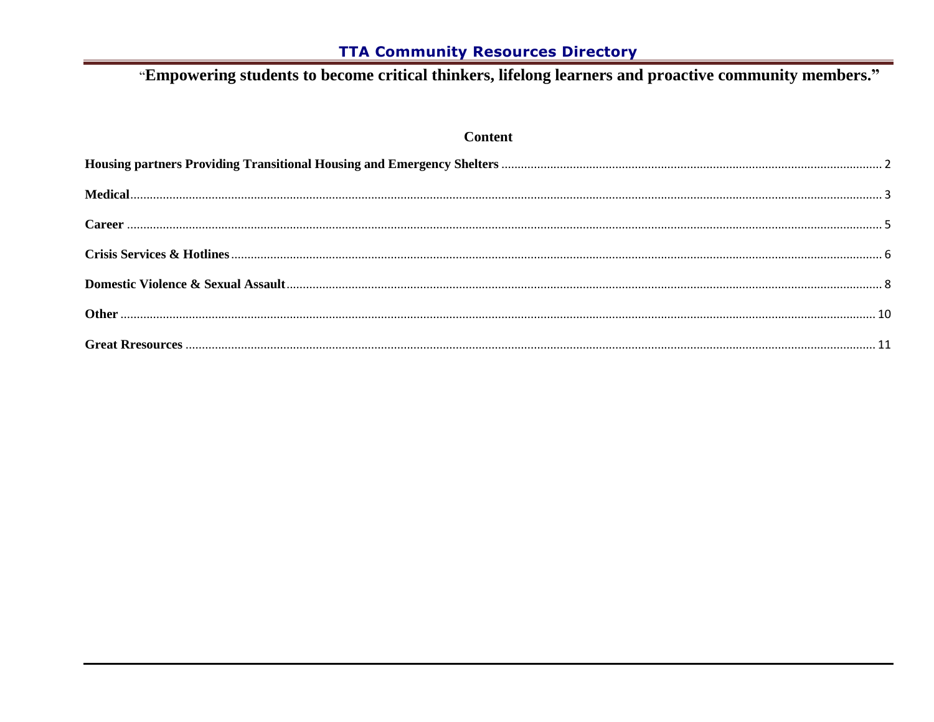# "Empowering students to become critical thinkers, lifelong learners and proactive community members."

#### **Content**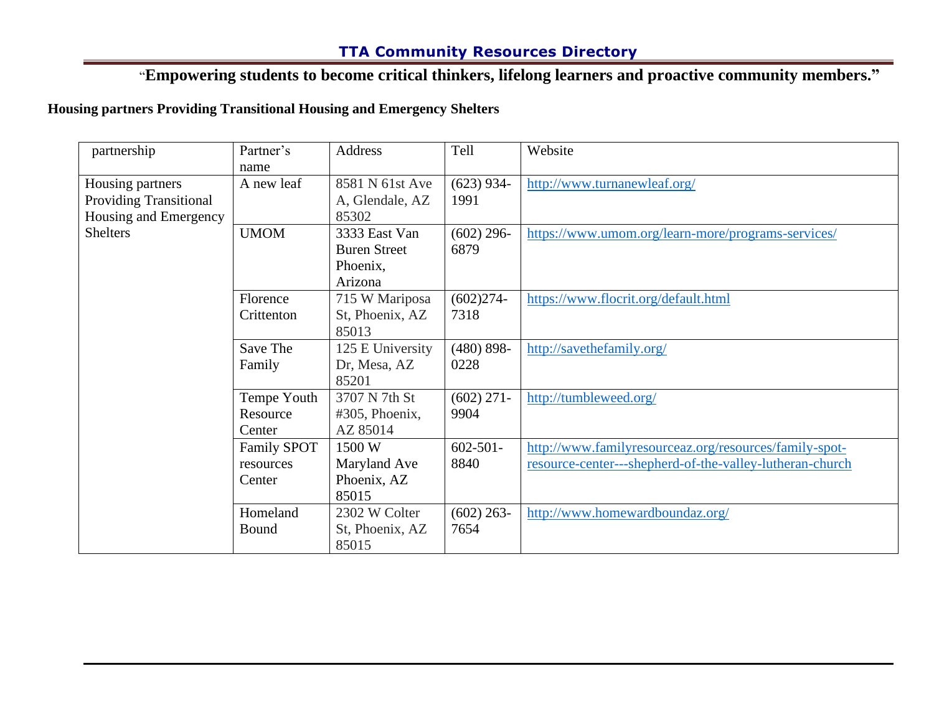## "**Empowering students to become critical thinkers, lifelong learners and proactive community members."**

#### <span id="page-1-0"></span>**Housing partners Providing Transitional Housing and Emergency Shelters**

| partnership                   | Partner's          | Address             | Tell          | Website                                                  |
|-------------------------------|--------------------|---------------------|---------------|----------------------------------------------------------|
|                               | name               |                     |               |                                                          |
| Housing partners              | A new leaf         | 8581 N 61st Ave     | $(623)$ 934-  | http://www.turnanewleaf.org/                             |
| <b>Providing Transitional</b> |                    | A, Glendale, AZ     | 1991          |                                                          |
| Housing and Emergency         |                    | 85302               |               |                                                          |
| <b>Shelters</b>               | <b>UMOM</b>        | 3333 East Van       | $(602)$ 296-  | https://www.umom.org/learn-more/programs-services/       |
|                               |                    | <b>Buren Street</b> | 6879          |                                                          |
|                               |                    | Phoenix,            |               |                                                          |
|                               |                    | Arizona             |               |                                                          |
|                               | Florence           | 715 W Mariposa      | $(602)274-$   | https://www.flocrit.org/default.html                     |
|                               | Crittenton         | St, Phoenix, AZ     | 7318          |                                                          |
|                               |                    | 85013               |               |                                                          |
|                               | Save The           | 125 E University    | $(480) 898 -$ | http://savethefamily.org/                                |
|                               | Family             | Dr, Mesa, AZ        | 0228          |                                                          |
|                               |                    | 85201               |               |                                                          |
|                               | Tempe Youth        | 3707 N 7th St       | $(602)$ 271-  | http://tumbleweed.org/                                   |
|                               | Resource           | $#305$ , Phoenix,   | 9904          |                                                          |
|                               | Center             | AZ 85014            |               |                                                          |
|                               | <b>Family SPOT</b> | 1500 W              | $602 - 501 -$ | http://www.familyresourceaz.org/resources/family-spot-   |
|                               | resources          | Maryland Ave        | 8840          | resource-center---shepherd-of-the-valley-lutheran-church |
|                               | Center             | Phoenix, AZ         |               |                                                          |
|                               |                    | 85015               |               |                                                          |
|                               | Homeland           | 2302 W Colter       | $(602)$ 263-  | http://www.homewardboundaz.org/                          |
|                               | Bound              | St, Phoenix, AZ     | 7654          |                                                          |
|                               |                    | 85015               |               |                                                          |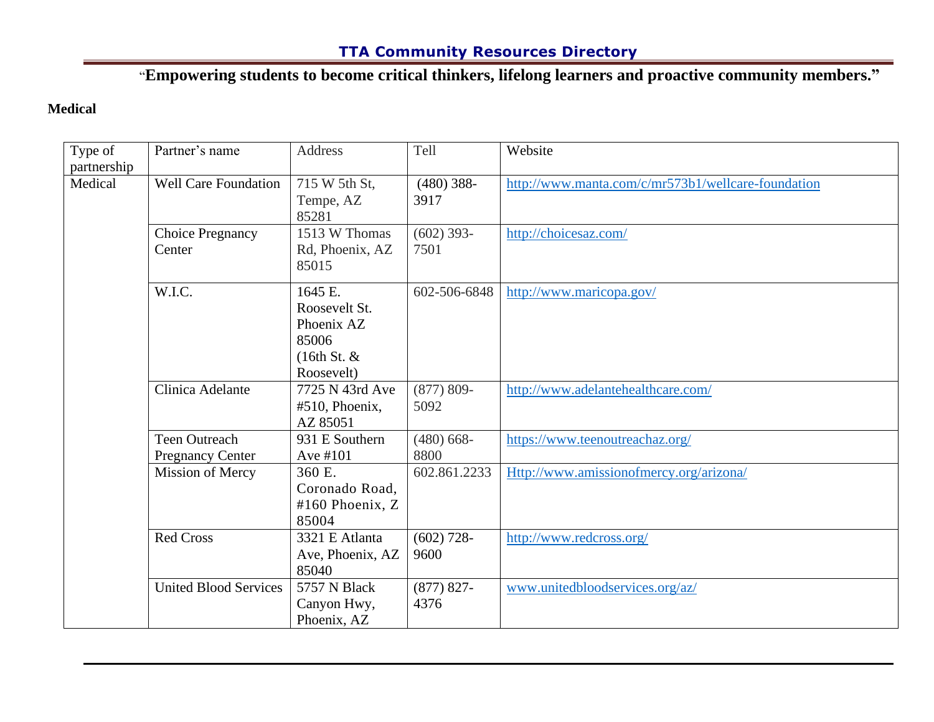"**Empowering students to become critical thinkers, lifelong learners and proactive community members."**

#### <span id="page-2-0"></span>**Medical**

| Type of<br>partnership | Partner's name                                  | <b>Address</b>                                                                  | Tell                  | Website                                            |
|------------------------|-------------------------------------------------|---------------------------------------------------------------------------------|-----------------------|----------------------------------------------------|
| Medical                | <b>Well Care Foundation</b>                     | 715 W 5th St,<br>Tempe, AZ<br>85281                                             | $(480)$ 388-<br>3917  | http://www.manta.com/c/mr573b1/wellcare-foundation |
|                        | <b>Choice Pregnancy</b><br>Center               | 1513 W Thomas<br>Rd, Phoenix, AZ<br>85015                                       | $(602)$ 393-<br>7501  | http://choicesaz.com/                              |
|                        | W.I.C.                                          | 1645 E.<br>Roosevelt St.<br>Phoenix AZ<br>85006<br>$(16th St. \&$<br>Roosevelt) | 602-506-6848          | http://www.maricopa.gov/                           |
|                        | Clinica Adelante                                | 7725 N 43rd Ave<br>$#510$ , Phoenix,<br>AZ 85051                                | $(877) 809 -$<br>5092 | http://www.adelantehealthcare.com/                 |
|                        | <b>Teen Outreach</b><br><b>Pregnancy Center</b> | 931 E Southern<br>Ave #101                                                      | $(480)$ 668-<br>8800  | https://www.teenoutreachaz.org/                    |
|                        | Mission of Mercy                                | 360 E.<br>Coronado Road,<br>#160 Phoenix, Z<br>85004                            | 602.861.2233          | Http://www.amissionofmercy.org/arizona/            |
|                        | <b>Red Cross</b>                                | 3321 E Atlanta<br>Ave, Phoenix, AZ<br>85040                                     | $(602)$ 728-<br>9600  | http://www.redcross.org/                           |
|                        | <b>United Blood Services</b>                    | 5757 N Black<br>Canyon Hwy,<br>Phoenix, AZ                                      | $(877) 827 -$<br>4376 | www.unitedbloodservices.org/az/                    |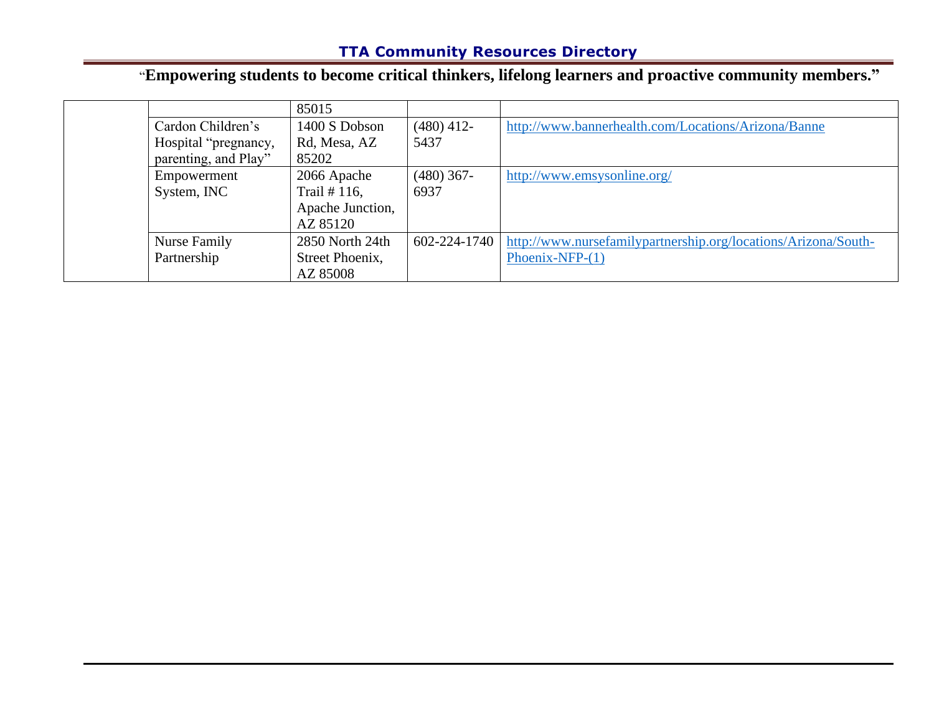# "**Empowering students to become critical thinkers, lifelong learners and proactive community members."**

|                      | 85015            |              |                                                                |
|----------------------|------------------|--------------|----------------------------------------------------------------|
| Cardon Children's    | 1400 S Dobson    | $(480)$ 412- | http://www.bannerhealth.com/Locations/Arizona/Banne            |
| Hospital "pregnancy, | Rd, Mesa, AZ     | 5437         |                                                                |
| parenting, and Play" | 85202            |              |                                                                |
| Empowerment          | 2066 Apache      | $(480)$ 367- | http://www.emsysonline.org/                                    |
| System, INC          | Trail $# 116$ ,  | 6937         |                                                                |
|                      | Apache Junction, |              |                                                                |
|                      | AZ 85120         |              |                                                                |
| Nurse Family         | 2850 North 24th  | 602-224-1740 | http://www.nursefamilypartnership.org/locations/Arizona/South- |
| Partnership          | Street Phoenix,  |              | Phoenix-NFP- $(1)$                                             |
|                      | AZ 85008         |              |                                                                |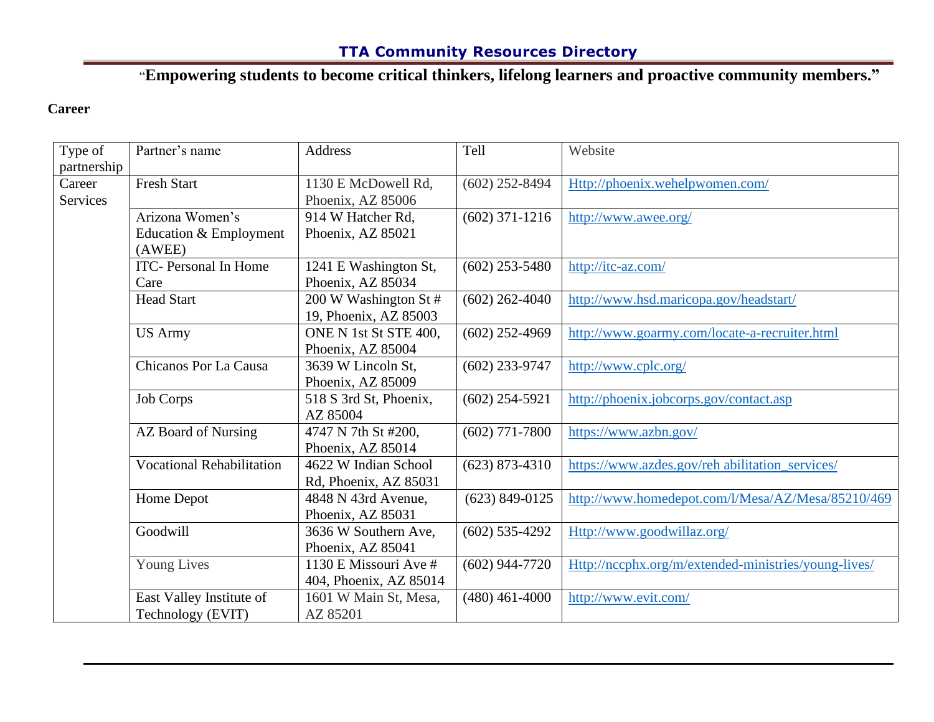# "**Empowering students to become critical thinkers, lifelong learners and proactive community members."**

#### <span id="page-4-0"></span>**Career**

| Type of     | Partner's name                   | Address                | Tell             | Website                                              |
|-------------|----------------------------------|------------------------|------------------|------------------------------------------------------|
| partnership |                                  |                        |                  |                                                      |
| Career      | <b>Fresh Start</b>               | 1130 E McDowell Rd,    | $(602)$ 252-8494 | Http://phoenix.wehelpwomen.com/                      |
| Services    |                                  | Phoenix, AZ 85006      |                  |                                                      |
|             | Arizona Women's                  | 914 W Hatcher Rd,      | $(602)$ 371-1216 | http://www.awee.org/                                 |
|             | Education & Employment<br>(AWEE) | Phoenix, AZ 85021      |                  |                                                      |
|             | <b>ITC-</b> Personal In Home     | 1241 E Washington St,  | $(602)$ 253-5480 | http://itc-az.com/                                   |
|             | Care                             | Phoenix, AZ 85034      |                  |                                                      |
|             | <b>Head Start</b>                | 200 W Washington St #  | $(602)$ 262-4040 | http://www.hsd.maricopa.gov/headstart/               |
|             |                                  | 19, Phoenix, AZ 85003  |                  |                                                      |
|             | <b>US Army</b>                   | ONE N 1st St STE 400,  | $(602)$ 252-4969 | http://www.goarmy.com/locate-a-recruiter.html        |
|             |                                  | Phoenix, AZ 85004      |                  |                                                      |
|             | Chicanos Por La Causa            | 3639 W Lincoln St,     | $(602)$ 233-9747 | http://www.cplc.org/                                 |
|             |                                  | Phoenix, AZ 85009      |                  |                                                      |
|             | Job Corps                        | 518 S 3rd St, Phoenix, | $(602)$ 254-5921 | http://phoenix.jobcorps.gov/contact.asp              |
|             |                                  | AZ 85004               |                  |                                                      |
|             | AZ Board of Nursing              | 4747 N 7th St #200,    | $(602)$ 771-7800 | https://www.azbn.gov/                                |
|             |                                  | Phoenix, AZ 85014      |                  |                                                      |
|             | <b>Vocational Rehabilitation</b> | 4622 W Indian School   | $(623)$ 873-4310 | https://www.azdes.gov/reh abilitation_services/      |
|             |                                  | Rd, Phoenix, AZ 85031  |                  |                                                      |
|             | Home Depot                       | 4848 N 43rd Avenue,    | $(623)$ 849-0125 | http://www.homedepot.com/l/Mesa/AZ/Mesa/85210/469    |
|             |                                  | Phoenix, AZ 85031      |                  |                                                      |
|             | Goodwill                         | 3636 W Southern Ave,   | $(602)$ 535-4292 | Http://www.goodwillaz.org/                           |
|             |                                  | Phoenix, AZ 85041      |                  |                                                      |
|             | <b>Young Lives</b>               | 1130 E Missouri Ave #  | $(602)$ 944-7720 | Http://nccphx.org/m/extended-ministries/young-lives/ |
|             |                                  | 404, Phoenix, AZ 85014 |                  |                                                      |
|             | East Valley Institute of         | 1601 W Main St, Mesa,  | $(480)$ 461-4000 | http://www.evit.com/                                 |
|             | Technology (EVIT)                | AZ 85201               |                  |                                                      |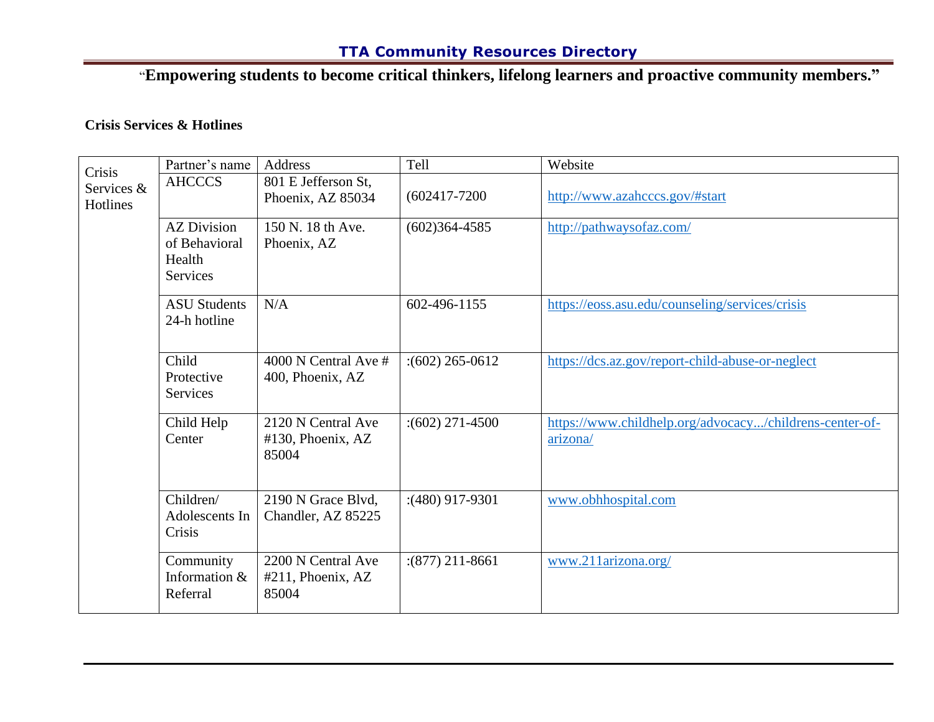"**Empowering students to become critical thinkers, lifelong learners and proactive community members."**

#### <span id="page-5-0"></span>**Crisis Services & Hotlines**

| Crisis                 | Partner's name                                                   | <b>Address</b>                                   | Tell                 | Website                                                             |
|------------------------|------------------------------------------------------------------|--------------------------------------------------|----------------------|---------------------------------------------------------------------|
| Services &<br>Hotlines | <b>AHCCCS</b>                                                    | 801 E Jefferson St,<br>Phoenix, AZ 85034         | $(602417 - 7200)$    | http://www.azahcccs.gov/#start                                      |
|                        | <b>AZ Division</b><br>of Behavioral<br>Health<br><b>Services</b> | 150 N. 18 th Ave.<br>Phoenix, AZ                 | $(602)364 - 4585$    | http://pathwaysofaz.com/                                            |
|                        | <b>ASU Students</b><br>24-h hotline                              | N/A                                              | 602-496-1155         | https://eoss.asu.edu/counseling/services/crisis                     |
|                        | Child<br>Protective<br>Services                                  | 4000 N Central Ave $#$<br>400, Phoenix, AZ       | $\div(602)$ 265-0612 | https://dcs.az.gov/report-child-abuse-or-neglect                    |
|                        | Child Help<br>Center                                             | 2120 N Central Ave<br>#130, Phoenix, AZ<br>85004 | $\div(602)$ 271-4500 | https://www.childhelp.org/advocacy/childrens-center-of-<br>arizona/ |
|                        | Children/<br>Adolescents In<br>Crisis                            | 2190 N Grace Blvd,<br>Chandler, AZ 85225         | $(480)$ 917-9301     | www.obhhospital.com                                                 |
|                        | Community<br>Information &<br>Referral                           | 2200 N Central Ave<br>#211, Phoenix, AZ<br>85004 | $(877)$ 211-8661     | www.211arizona.org/                                                 |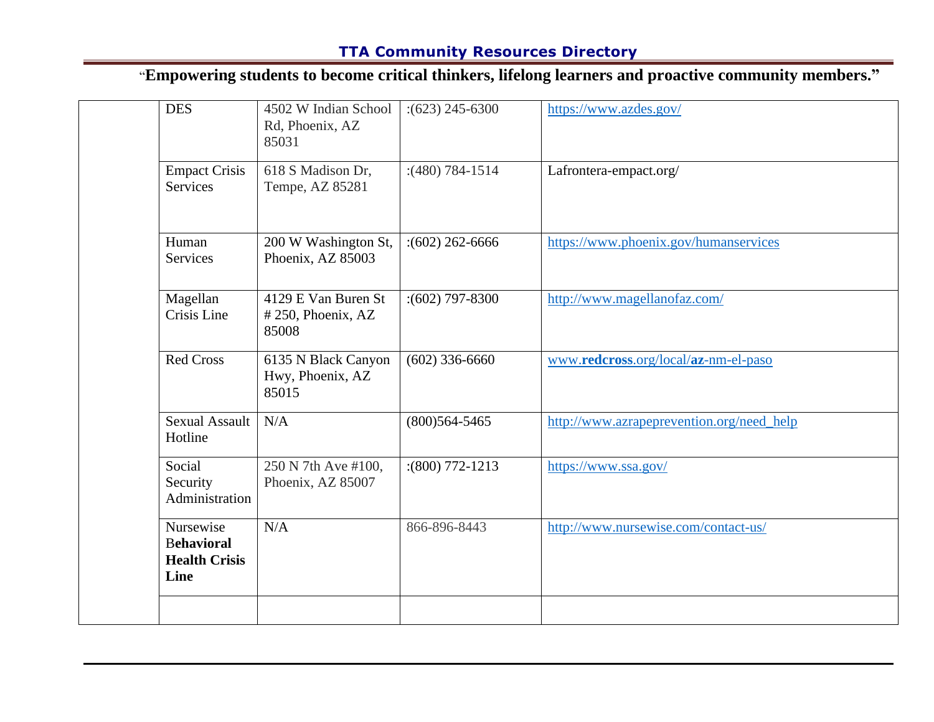# "**Empowering students to become critical thinkers, lifelong learners and proactive community members."**

| <b>DES</b>                                                     | 4502 W Indian School<br>Rd, Phoenix, AZ<br>85031  | $:(623)$ 245-6300    | https://www.azdes.gov/                    |
|----------------------------------------------------------------|---------------------------------------------------|----------------------|-------------------------------------------|
| <b>Empact Crisis</b><br>Services                               | 618 S Madison Dr,<br>Tempe, AZ 85281              | $(480) 784 - 1514$   | Lafrontera-empact.org/                    |
| Human<br>Services                                              | 200 W Washington St,<br>Phoenix, AZ 85003         | $\div(602)$ 262-6666 | https://www.phoenix.gov/humanservices     |
| Magellan<br>Crisis Line                                        | 4129 E Van Buren St<br>#250, Phoenix, AZ<br>85008 | $(602)$ 797-8300     | http://www.magellanofaz.com/              |
| <b>Red Cross</b>                                               | 6135 N Black Canyon<br>Hwy, Phoenix, AZ<br>85015  | $(602)$ 336-6660     | www.redcross.org/local/az-nm-el-paso      |
| <b>Sexual Assault</b><br>Hotline                               | N/A                                               | $(800)564 - 5465$    | http://www.azrapeprevention.org/need_help |
| Social<br>Security<br>Administration                           | 250 N 7th Ave #100,<br>Phoenix, AZ 85007          | $(800)$ 772-1213     | https://www.ssa.gov/                      |
| Nursewise<br><b>Behavioral</b><br><b>Health Crisis</b><br>Line | N/A                                               | 866-896-8443         | http://www.nursewise.com/contact-us/      |
|                                                                |                                                   |                      |                                           |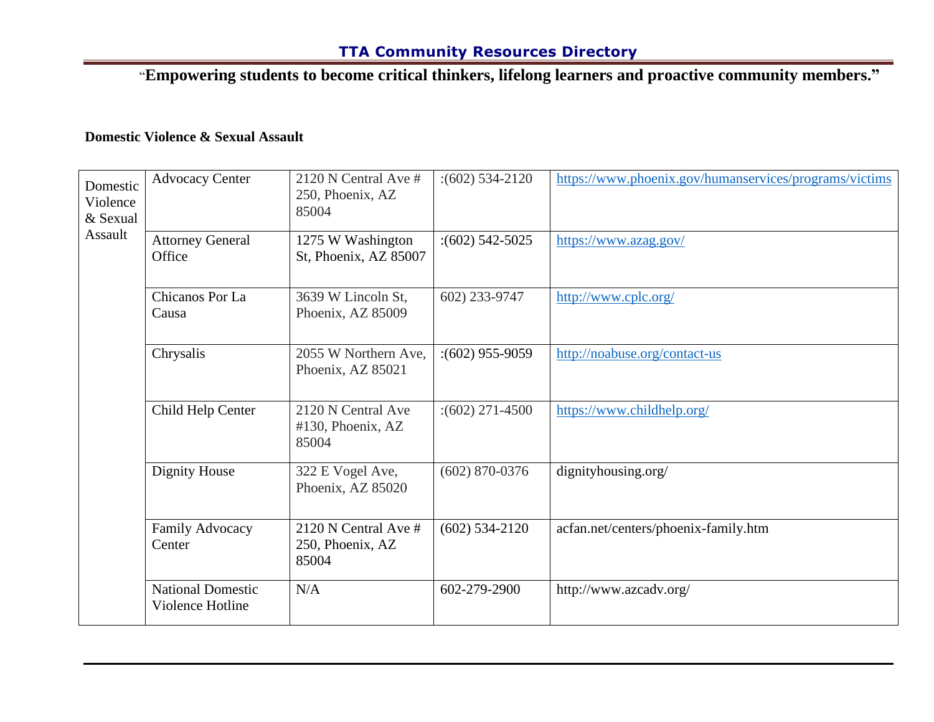"**Empowering students to become critical thinkers, lifelong learners and proactive community members."**

#### <span id="page-7-0"></span>**Domestic Violence & Sexual Assault**

| Domestic<br>Violence<br>& Sexual | <b>Advocacy Center</b>                       | 2120 N Central Ave #<br>250, Phoenix, AZ<br>85004   | $\div(602)$ 534-2120 | https://www.phoenix.gov/humanservices/programs/victims |
|----------------------------------|----------------------------------------------|-----------------------------------------------------|----------------------|--------------------------------------------------------|
| Assault                          | <b>Attorney General</b><br>Office            | 1275 W Washington<br>St, Phoenix, AZ 85007          | $\div(602)$ 542-5025 | https://www.azag.gov/                                  |
|                                  | Chicanos Por La<br>Causa                     | 3639 W Lincoln St,<br>Phoenix, AZ 85009             | 602) 233-9747        | http://www.cplc.org/                                   |
|                                  | Chrysalis                                    | 2055 W Northern Ave,<br>Phoenix, AZ 85021           | $(602)$ 955-9059     | http://noabuse.org/contact-us                          |
|                                  | Child Help Center                            | 2120 N Central Ave<br>$#130$ , Phoenix, AZ<br>85004 | $\div(602)$ 271-4500 | https://www.childhelp.org/                             |
|                                  | Dignity House                                | 322 E Vogel Ave,<br>Phoenix, AZ 85020               | $(602)$ 870-0376     | dignityhousing.org/                                    |
|                                  | Family Advocacy<br>Center                    | 2120 N Central Ave #<br>250, Phoenix, AZ<br>85004   | $(602)$ 534-2120     | acfan.net/centers/phoenix-family.htm                   |
|                                  | <b>National Domestic</b><br>Violence Hotline | N/A                                                 | 602-279-2900         | http://www.azcadv.org/                                 |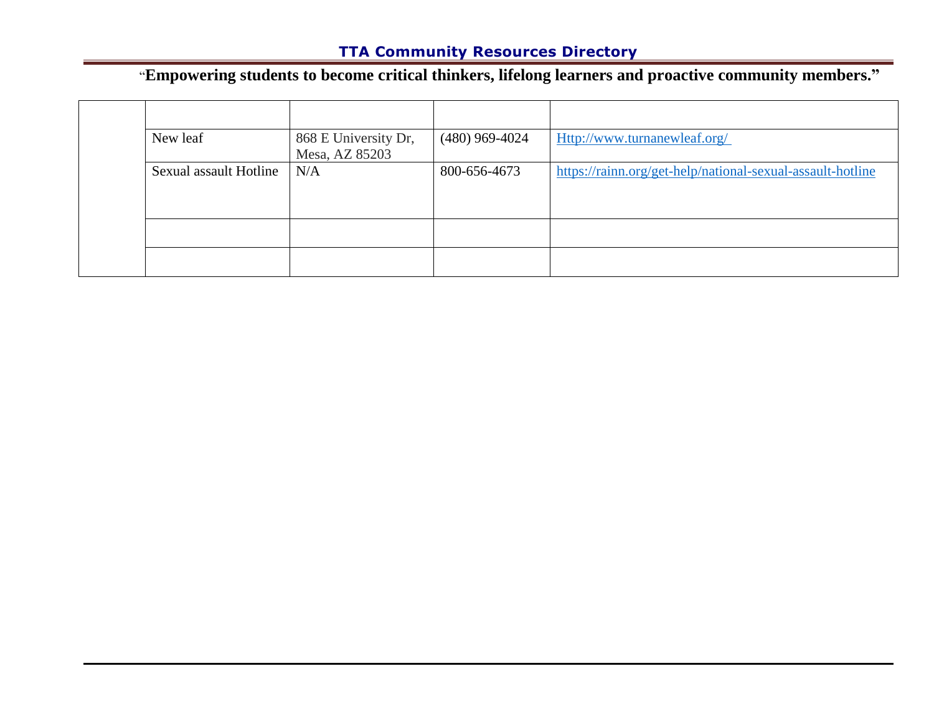# "**Empowering students to become critical thinkers, lifelong learners and proactive community members."**

| New leaf               | 868 E University Dr,<br>Mesa, AZ 85203 | $(480)$ 969-4024 | Http://www.turnanewleaf.org/                               |
|------------------------|----------------------------------------|------------------|------------------------------------------------------------|
| Sexual assault Hotline | N/A                                    | 800-656-4673     | https://rainn.org/get-help/national-sexual-assault-hotline |
|                        |                                        |                  |                                                            |
|                        |                                        |                  |                                                            |
|                        |                                        |                  |                                                            |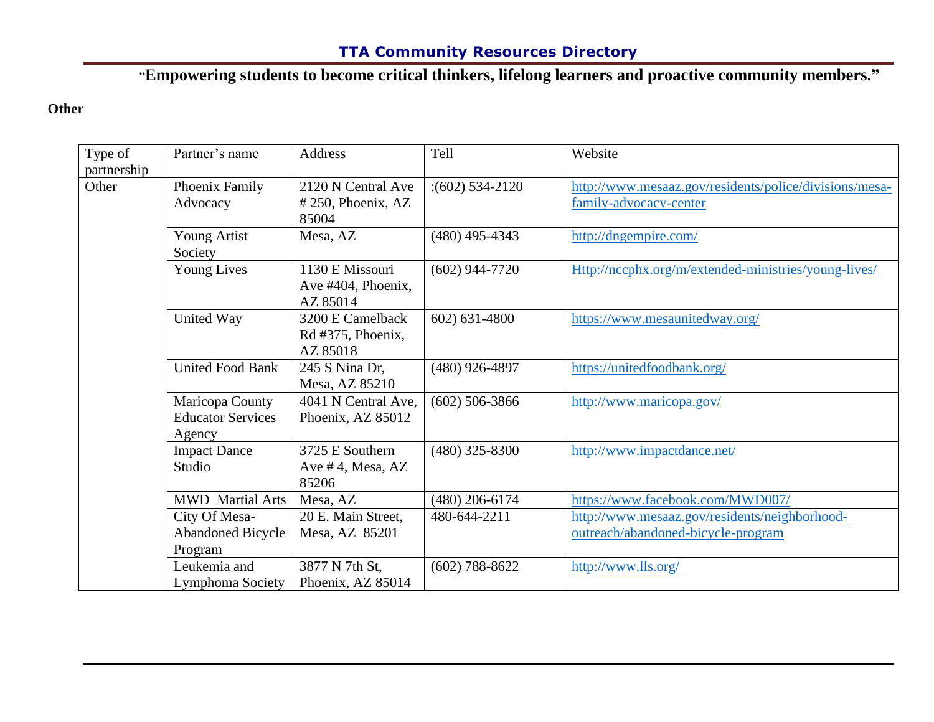"**Empowering students to become critical thinkers, lifelong learners and proactive community members."**

#### <span id="page-9-0"></span>**Other**

| Type of     | Partner's name           | <b>Address</b>        | Tell             | Website                                                |
|-------------|--------------------------|-----------------------|------------------|--------------------------------------------------------|
| partnership |                          |                       |                  |                                                        |
| Other       | Phoenix Family           | 2120 N Central Ave    | $(602)$ 534-2120 | http://www.mesaaz.gov/residents/police/divisions/mesa- |
|             | Advocacy                 | $# 250$ , Phoenix, AZ |                  | family-advocacy-center                                 |
|             |                          | 85004                 |                  |                                                        |
|             | <b>Young Artist</b>      | Mesa, AZ              | $(480)$ 495-4343 | http://dngempire.com/                                  |
|             | Society                  |                       |                  |                                                        |
|             | <b>Young Lives</b>       | 1130 E Missouri       | $(602)$ 944-7720 | Http://nccphx.org/m/extended-ministries/young-lives/   |
|             |                          | Ave #404, Phoenix,    |                  |                                                        |
|             |                          | AZ 85014              |                  |                                                        |
|             | United Way               | 3200 E Camelback      | 602) 631-4800    | https://www.mesaunitedway.org/                         |
|             |                          | Rd #375, Phoenix,     |                  |                                                        |
|             |                          | AZ 85018              |                  |                                                        |
|             | <b>United Food Bank</b>  | 245 S Nina Dr,        | $(480)$ 926-4897 | https://unitedfoodbank.org/                            |
|             |                          | Mesa, AZ 85210        |                  |                                                        |
|             | Maricopa County          | 4041 N Central Ave,   | $(602)$ 506-3866 | http://www.maricopa.gov/                               |
|             | <b>Educator Services</b> | Phoenix, AZ 85012     |                  |                                                        |
|             | Agency                   |                       |                  |                                                        |
|             | <b>Impact Dance</b>      | 3725 E Southern       | $(480)$ 325-8300 | http://www.impactdance.net/                            |
|             | Studio                   | Ave #4, Mesa, AZ      |                  |                                                        |
|             |                          | 85206                 |                  |                                                        |
|             | <b>MWD</b> Martial Arts  | Mesa, AZ              | $(480)$ 206-6174 | https://www.facebook.com/MWD007/                       |
|             | City Of Mesa-            | 20 E. Main Street,    | 480-644-2211     | http://www.mesaaz.gov/residents/neighborhood-          |
|             | <b>Abandoned Bicycle</b> | Mesa, AZ 85201        |                  | outreach/abandoned-bicycle-program                     |
|             | Program                  |                       |                  |                                                        |
|             | Leukemia and             | 3877 N 7th St,        | $(602)$ 788-8622 | http://www.lls.org/                                    |
|             | Lymphoma Society         | Phoenix, AZ 85014     |                  |                                                        |